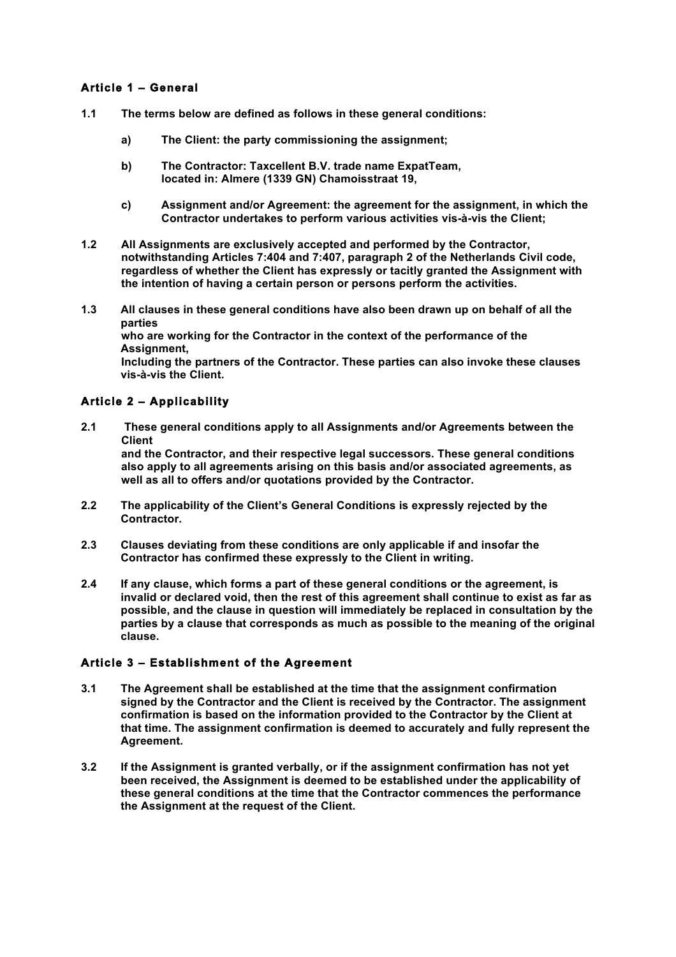# **Article 1 – General**

- **1.1 The terms below are defined as follows in these general conditions:**
	- **a) The Client: the party commissioning the assignment;**
	- **b) The Contractor: Taxcellent B.V. trade name ExpatTeam, located in: Almere (1339 GN) Chamoisstraat 19,**
	- **c) Assignment and/or Agreement: the agreement for the assignment, in which the Contractor undertakes to perform various activities vis-à-vis the Client;**
- **1.2 All Assignments are exclusively accepted and performed by the Contractor, notwithstanding Articles 7:404 and 7:407, paragraph 2 of the Netherlands Civil code, regardless of whether the Client has expressly or tacitly granted the Assignment with the intention of having a certain person or persons perform the activities.**
- **1.3 All clauses in these general conditions have also been drawn up on behalf of all the parties who are working for the Contractor in the context of the performance of the Assignment, Including the partners of the Contractor. These parties can also invoke these clauses vis-à-vis the Client.**

# **Article 2 – Applicability**

- **2.1 These general conditions apply to all Assignments and/or Agreements between the Client and the Contractor, and their respective legal successors. These general conditions also apply to all agreements arising on this basis and/or associated agreements, as well as all to offers and/or quotations provided by the Contractor.**
- **2.2 The applicability of the Client's General Conditions is expressly rejected by the Contractor.**
- **2.3 Clauses deviating from these conditions are only applicable if and insofar the Contractor has confirmed these expressly to the Client in writing.**
- **2.4 If any clause, which forms a part of these general conditions or the agreement, is invalid or declared void, then the rest of this agreement shall continue to exist as far as possible, and the clause in question will immediately be replaced in consultation by the parties by a clause that corresponds as much as possible to the meaning of the original clause.**

### **Article 3 – Establishment of the Agreement**

- **3.1 The Agreement shall be established at the time that the assignment confirmation signed by the Contractor and the Client is received by the Contractor. The assignment confirmation is based on the information provided to the Contractor by the Client at that time. The assignment confirmation is deemed to accurately and fully represent the Agreement.**
- **3.2 If the Assignment is granted verbally, or if the assignment confirmation has not yet been received, the Assignment is deemed to be established under the applicability of these general conditions at the time that the Contractor commences the performance the Assignment at the request of the Client.**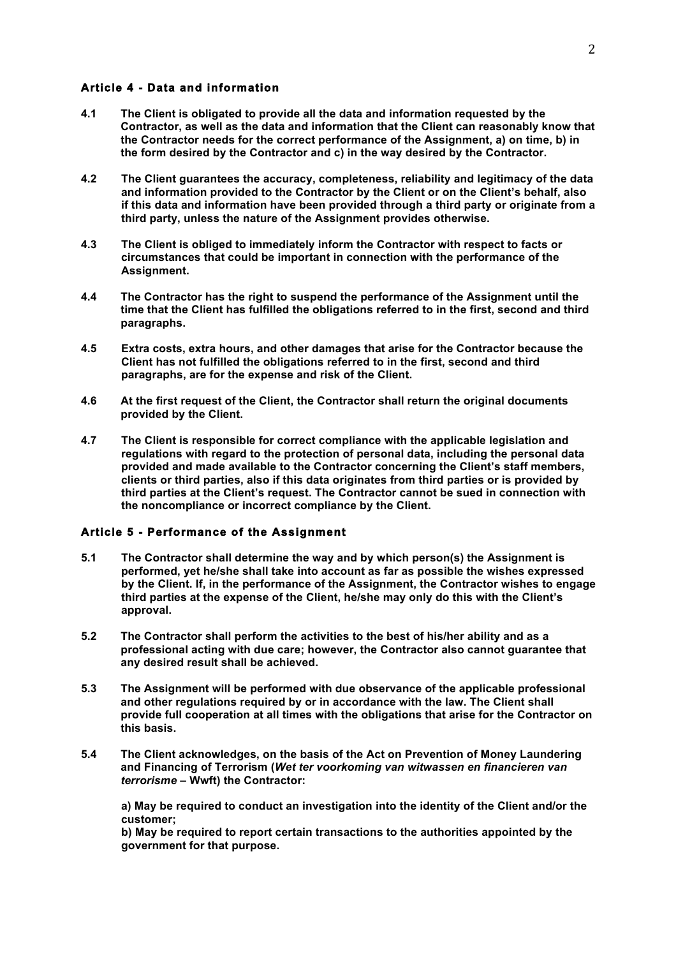#### **Article 4 - Data and information**

- **4.1 The Client is obligated to provide all the data and information requested by the Contractor, as well as the data and information that the Client can reasonably know that the Contractor needs for the correct performance of the Assignment, a) on time, b) in the form desired by the Contractor and c) in the way desired by the Contractor.**
- **4.2 The Client guarantees the accuracy, completeness, reliability and legitimacy of the data and information provided to the Contractor by the Client or on the Client's behalf, also if this data and information have been provided through a third party or originate from a third party, unless the nature of the Assignment provides otherwise.**
- **4.3 The Client is obliged to immediately inform the Contractor with respect to facts or circumstances that could be important in connection with the performance of the Assignment.**
- **4.4 The Contractor has the right to suspend the performance of the Assignment until the time that the Client has fulfilled the obligations referred to in the first, second and third paragraphs.**
- **4.5 Extra costs, extra hours, and other damages that arise for the Contractor because the Client has not fulfilled the obligations referred to in the first, second and third paragraphs, are for the expense and risk of the Client.**
- **4.6 At the first request of the Client, the Contractor shall return the original documents provided by the Client.**
- **4.7 The Client is responsible for correct compliance with the applicable legislation and regulations with regard to the protection of personal data, including the personal data provided and made available to the Contractor concerning the Client's staff members, clients or third parties, also if this data originates from third parties or is provided by third parties at the Client's request. The Contractor cannot be sued in connection with the noncompliance or incorrect compliance by the Client.**

#### **Article 5 - Performance of the Assignment**

- **5.1 The Contractor shall determine the way and by which person(s) the Assignment is performed, yet he/she shall take into account as far as possible the wishes expressed by the Client. If, in the performance of the Assignment, the Contractor wishes to engage third parties at the expense of the Client, he/she may only do this with the Client's approval.**
- **5.2 The Contractor shall perform the activities to the best of his/her ability and as a professional acting with due care; however, the Contractor also cannot guarantee that any desired result shall be achieved.**
- **5.3 The Assignment will be performed with due observance of the applicable professional and other regulations required by or in accordance with the law. The Client shall provide full cooperation at all times with the obligations that arise for the Contractor on this basis.**
- **5.4 The Client acknowledges, on the basis of the Act on Prevention of Money Laundering and Financing of Terrorism (***Wet ter voorkoming van witwassen en financieren van terrorisme* **– Wwft) the Contractor:**

**a) May be required to conduct an investigation into the identity of the Client and/or the customer;**

**b) May be required to report certain transactions to the authorities appointed by the government for that purpose.**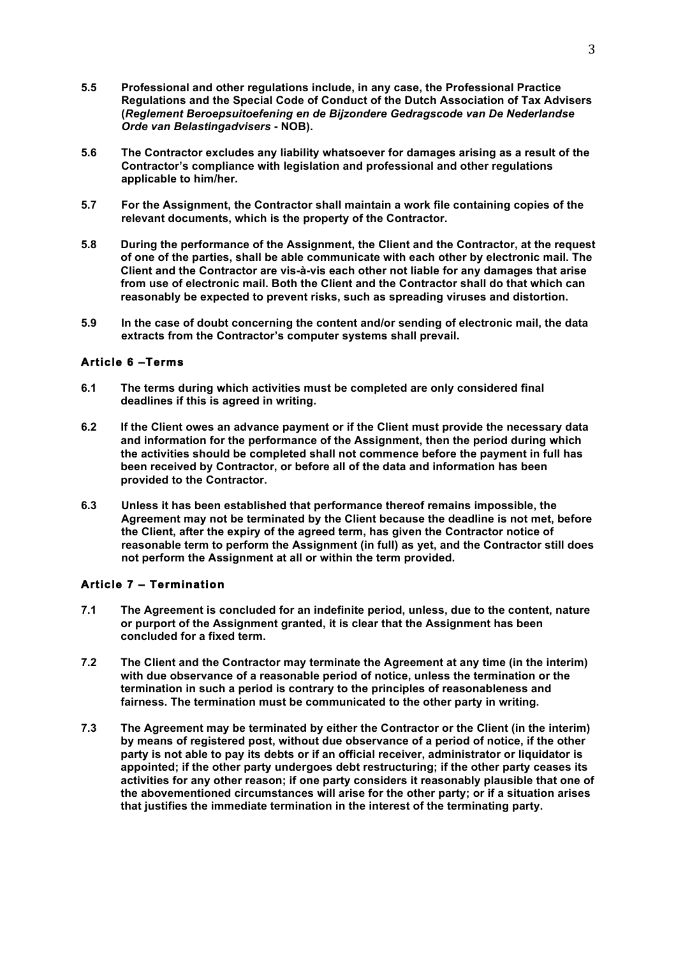- **5.5 Professional and other regulations include, in any case, the Professional Practice Regulations and the Special Code of Conduct of the Dutch Association of Tax Advisers (***Reglement Beroepsuitoefening en de Bijzondere Gedragscode van De Nederlandse Orde van Belastingadvisers* **- NOB).**
- **5.6 The Contractor excludes any liability whatsoever for damages arising as a result of the Contractor's compliance with legislation and professional and other regulations applicable to him/her.**
- **5.7 For the Assignment, the Contractor shall maintain a work file containing copies of the relevant documents, which is the property of the Contractor.**
- **5.8 During the performance of the Assignment, the Client and the Contractor, at the request of one of the parties, shall be able communicate with each other by electronic mail. The Client and the Contractor are vis-à-vis each other not liable for any damages that arise from use of electronic mail. Both the Client and the Contractor shall do that which can reasonably be expected to prevent risks, such as spreading viruses and distortion.**
- **5.9 In the case of doubt concerning the content and/or sending of electronic mail, the data extracts from the Contractor's computer systems shall prevail.**

### **Article 6 –Terms**

- **6.1 The terms during which activities must be completed are only considered final deadlines if this is agreed in writing.**
- **6.2 If the Client owes an advance payment or if the Client must provide the necessary data and information for the performance of the Assignment, then the period during which the activities should be completed shall not commence before the payment in full has been received by Contractor, or before all of the data and information has been provided to the Contractor.**
- **6.3 Unless it has been established that performance thereof remains impossible, the Agreement may not be terminated by the Client because the deadline is not met, before the Client, after the expiry of the agreed term, has given the Contractor notice of reasonable term to perform the Assignment (in full) as yet, and the Contractor still does not perform the Assignment at all or within the term provided.**

### **Article 7 – Termination**

- **7.1 The Agreement is concluded for an indefinite period, unless, due to the content, nature or purport of the Assignment granted, it is clear that the Assignment has been concluded for a fixed term.**
- **7.2 The Client and the Contractor may terminate the Agreement at any time (in the interim) with due observance of a reasonable period of notice, unless the termination or the termination in such a period is contrary to the principles of reasonableness and fairness. The termination must be communicated to the other party in writing.**
- **7.3 The Agreement may be terminated by either the Contractor or the Client (in the interim) by means of registered post, without due observance of a period of notice, if the other party is not able to pay its debts or if an official receiver, administrator or liquidator is appointed; if the other party undergoes debt restructuring; if the other party ceases its activities for any other reason; if one party considers it reasonably plausible that one of the abovementioned circumstances will arise for the other party; or if a situation arises that justifies the immediate termination in the interest of the terminating party.**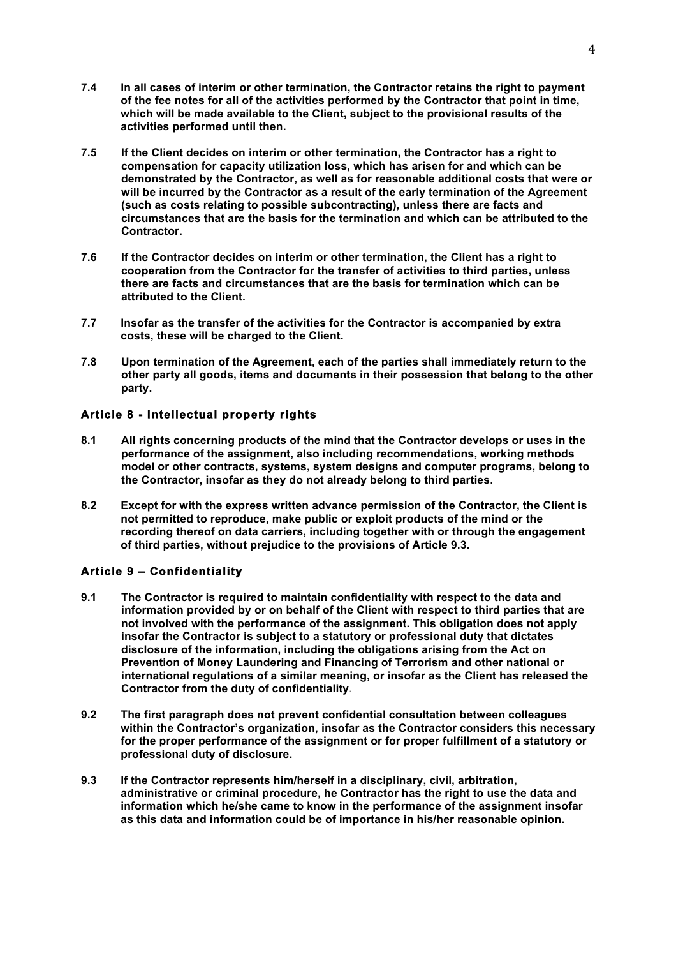- **7.4 In all cases of interim or other termination, the Contractor retains the right to payment of the fee notes for all of the activities performed by the Contractor that point in time, which will be made available to the Client, subject to the provisional results of the activities performed until then.**
- **7.5 If the Client decides on interim or other termination, the Contractor has a right to compensation for capacity utilization loss, which has arisen for and which can be demonstrated by the Contractor, as well as for reasonable additional costs that were or will be incurred by the Contractor as a result of the early termination of the Agreement (such as costs relating to possible subcontracting), unless there are facts and circumstances that are the basis for the termination and which can be attributed to the Contractor.**
- **7.6 If the Contractor decides on interim or other termination, the Client has a right to cooperation from the Contractor for the transfer of activities to third parties, unless there are facts and circumstances that are the basis for termination which can be attributed to the Client.**
- **7.7 Insofar as the transfer of the activities for the Contractor is accompanied by extra costs, these will be charged to the Client.**
- **7.8 Upon termination of the Agreement, each of the parties shall immediately return to the other party all goods, items and documents in their possession that belong to the other party.**

### **Article 8 - Intellectual property rights**

- **8.1 All rights concerning products of the mind that the Contractor develops or uses in the performance of the assignment, also including recommendations, working methods model or other contracts, systems, system designs and computer programs, belong to the Contractor, insofar as they do not already belong to third parties.**
- **8.2 Except for with the express written advance permission of the Contractor, the Client is not permitted to reproduce, make public or exploit products of the mind or the recording thereof on data carriers, including together with or through the engagement of third parties, without prejudice to the provisions of Article 9.3.**

# **Article 9 – Confidentiality**

- **9.1 The Contractor is required to maintain confidentiality with respect to the data and information provided by or on behalf of the Client with respect to third parties that are not involved with the performance of the assignment. This obligation does not apply insofar the Contractor is subject to a statutory or professional duty that dictates disclosure of the information, including the obligations arising from the Act on Prevention of Money Laundering and Financing of Terrorism and other national or international regulations of a similar meaning, or insofar as the Client has released the Contractor from the duty of confidentiality.**
- **9.2 The first paragraph does not prevent confidential consultation between colleagues within the Contractor's organization, insofar as the Contractor considers this necessary for the proper performance of the assignment or for proper fulfillment of a statutory or professional duty of disclosure.**
- **9.3 If the Contractor represents him/herself in a disciplinary, civil, arbitration, administrative or criminal procedure, he Contractor has the right to use the data and information which he/she came to know in the performance of the assignment insofar as this data and information could be of importance in his/her reasonable opinion.**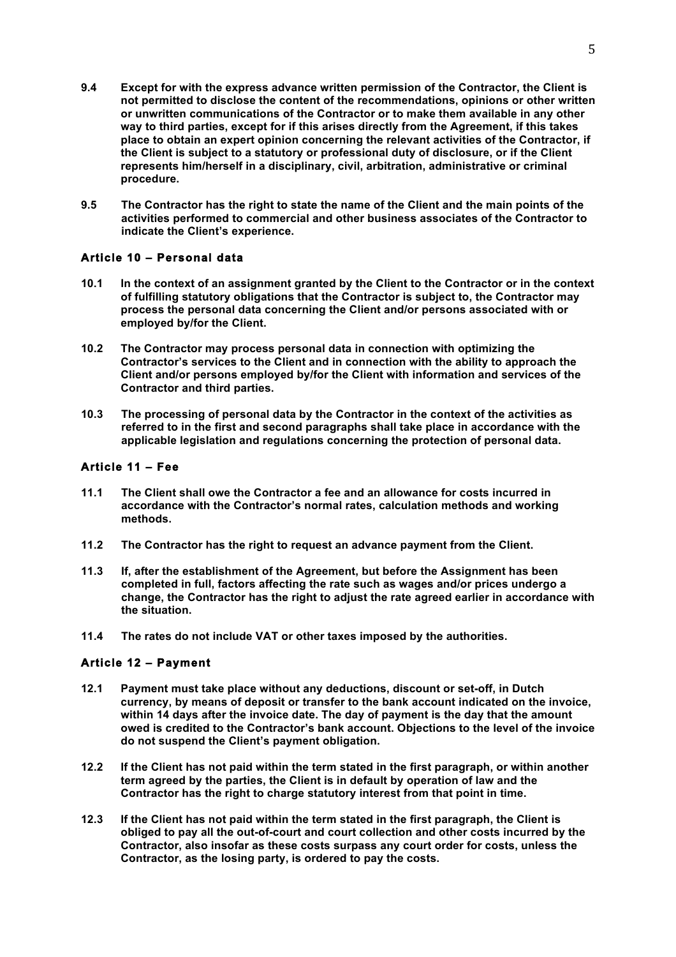- **9.4 Except for with the express advance written permission of the Contractor, the Client is not permitted to disclose the content of the recommendations, opinions or other written or unwritten communications of the Contractor or to make them available in any other way to third parties, except for if this arises directly from the Agreement, if this takes place to obtain an expert opinion concerning the relevant activities of the Contractor, if the Client is subject to a statutory or professional duty of disclosure, or if the Client represents him/herself in a disciplinary, civil, arbitration, administrative or criminal procedure.**
- **9.5 The Contractor has the right to state the name of the Client and the main points of the activities performed to commercial and other business associates of the Contractor to indicate the Client's experience.**

### **Article 10 – Personal data**

- **10.1 In the context of an assignment granted by the Client to the Contractor or in the context of fulfilling statutory obligations that the Contractor is subject to, the Contractor may process the personal data concerning the Client and/or persons associated with or employed by/for the Client.**
- **10.2 The Contractor may process personal data in connection with optimizing the Contractor's services to the Client and in connection with the ability to approach the Client and/or persons employed by/for the Client with information and services of the Contractor and third parties.**
- **10.3 The processing of personal data by the Contractor in the context of the activities as referred to in the first and second paragraphs shall take place in accordance with the applicable legislation and regulations concerning the protection of personal data.**

### **Article 11 – Fee**

- **11.1 The Client shall owe the Contractor a fee and an allowance for costs incurred in accordance with the Contractor's normal rates, calculation methods and working methods.**
- **11.2 The Contractor has the right to request an advance payment from the Client.**
- **11.3 If, after the establishment of the Agreement, but before the Assignment has been completed in full, factors affecting the rate such as wages and/or prices undergo a change, the Contractor has the right to adjust the rate agreed earlier in accordance with the situation.**
- **11.4 The rates do not include VAT or other taxes imposed by the authorities.**

### **Article 12 – Payment**

- **12.1 Payment must take place without any deductions, discount or set-off, in Dutch currency, by means of deposit or transfer to the bank account indicated on the invoice, within 14 days after the invoice date. The day of payment is the day that the amount owed is credited to the Contractor's bank account. Objections to the level of the invoice do not suspend the Client's payment obligation.**
- **12.2 If the Client has not paid within the term stated in the first paragraph, or within another term agreed by the parties, the Client is in default by operation of law and the Contractor has the right to charge statutory interest from that point in time.**
- **12.3 If the Client has not paid within the term stated in the first paragraph, the Client is obliged to pay all the out-of-court and court collection and other costs incurred by the Contractor, also insofar as these costs surpass any court order for costs, unless the Contractor, as the losing party, is ordered to pay the costs.**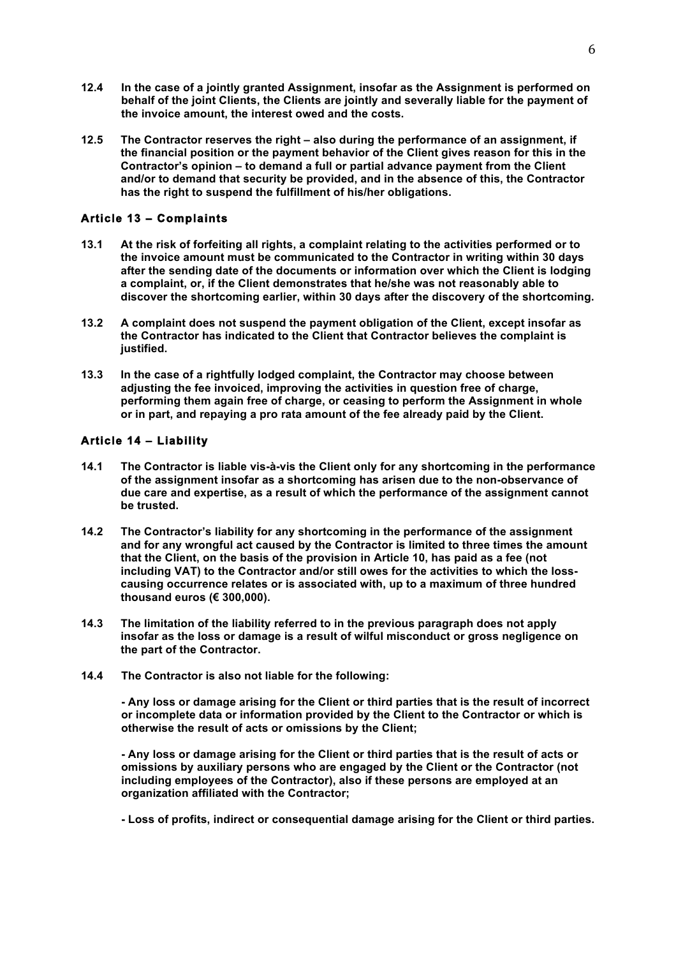- **12.4 In the case of a jointly granted Assignment, insofar as the Assignment is performed on behalf of the joint Clients, the Clients are jointly and severally liable for the payment of the invoice amount, the interest owed and the costs.**
- **12.5 The Contractor reserves the right – also during the performance of an assignment, if the financial position or the payment behavior of the Client gives reason for this in the Contractor's opinion – to demand a full or partial advance payment from the Client and/or to demand that security be provided, and in the absence of this, the Contractor has the right to suspend the fulfillment of his/her obligations.**

### **Article 13 – Complaints**

- **13.1 At the risk of forfeiting all rights, a complaint relating to the activities performed or to the invoice amount must be communicated to the Contractor in writing within 30 days after the sending date of the documents or information over which the Client is lodging a complaint, or, if the Client demonstrates that he/she was not reasonably able to discover the shortcoming earlier, within 30 days after the discovery of the shortcoming.**
- **13.2 A complaint does not suspend the payment obligation of the Client, except insofar as the Contractor has indicated to the Client that Contractor believes the complaint is justified.**
- **13.3 In the case of a rightfully lodged complaint, the Contractor may choose between adjusting the fee invoiced, improving the activities in question free of charge, performing them again free of charge, or ceasing to perform the Assignment in whole or in part, and repaying a pro rata amount of the fee already paid by the Client.**

### **Article 14 – Liability**

- **14.1 The Contractor is liable vis-à-vis the Client only for any shortcoming in the performance of the assignment insofar as a shortcoming has arisen due to the non-observance of due care and expertise, as a result of which the performance of the assignment cannot be trusted.**
- **14.2 The Contractor's liability for any shortcoming in the performance of the assignment and for any wrongful act caused by the Contractor is limited to three times the amount that the Client, on the basis of the provision in Article 10, has paid as a fee (not including VAT) to the Contractor and/or still owes for the activities to which the losscausing occurrence relates or is associated with, up to a maximum of three hundred thousand euros (€ 300,000).**
- **14.3 The limitation of the liability referred to in the previous paragraph does not apply insofar as the loss or damage is a result of wilful misconduct or gross negligence on the part of the Contractor.**
- **14.4 The Contractor is also not liable for the following:**

**- Any loss or damage arising for the Client or third parties that is the result of incorrect or incomplete data or information provided by the Client to the Contractor or which is otherwise the result of acts or omissions by the Client;**

**- Any loss or damage arising for the Client or third parties that is the result of acts or omissions by auxiliary persons who are engaged by the Client or the Contractor (not including employees of the Contractor), also if these persons are employed at an organization affiliated with the Contractor;**

**- Loss of profits, indirect or consequential damage arising for the Client or third parties.**